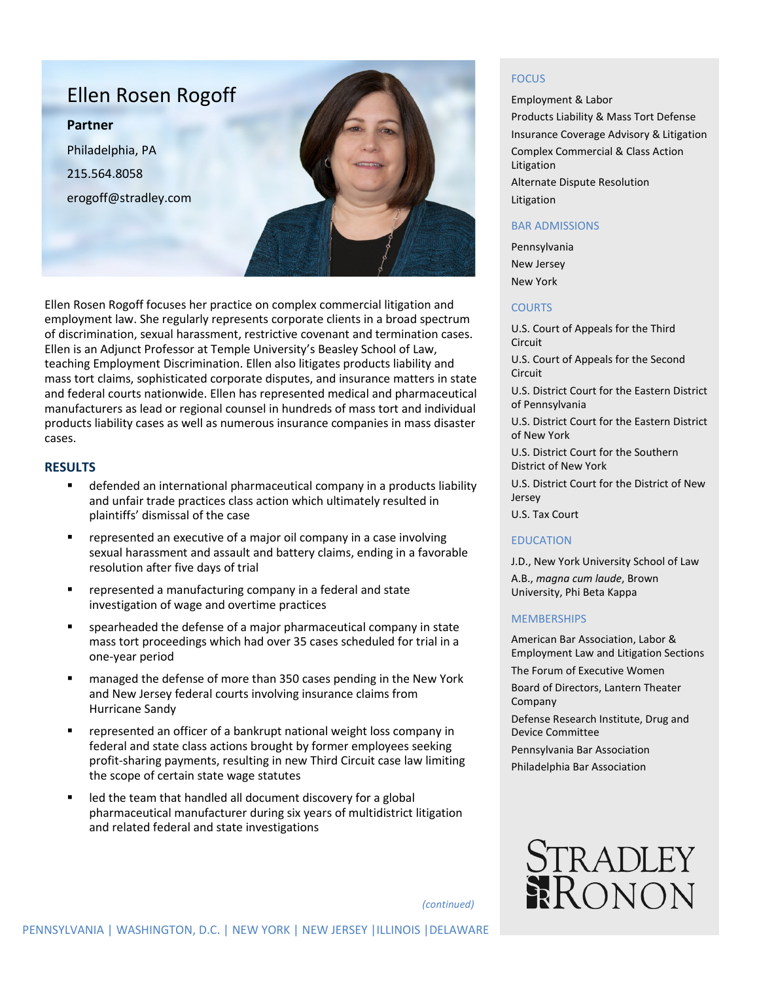

Ellen Rosen Rogoff focuses her practice on complex commercial litigation and employment law. She regularly represents corporate clients in a broad spectrum of discrimination, sexual harassment, restrictive covenant and termination cases. Ellen is an Adjunct Professor at Temple University's Beasley School of Law, teaching Employment Discrimination. Ellen also litigates products liability and mass tort claims, sophisticated corporate disputes, and insurance matters in state and federal courts nationwide. Ellen has represented medical and pharmaceutical manufacturers as lead or regional counsel in hundreds of mass tort and individual products liability cases as well as numerous insurance companies in mass disaster cases.

### **RESULTS**

- defended an international pharmaceutical company in a products liability and unfair trade practices class action which ultimately resulted in plaintiffs' dismissal of the case
- **•** represented an executive of a major oil company in a case involving sexual harassment and assault and battery claims, ending in a favorable resolution after five days of trial
- represented a manufacturing company in a federal and state investigation of wage and overtime practices
- spearheaded the defense of a major pharmaceutical company in state mass tort proceedings which had over 35 cases scheduled for trial in a one-year period
- managed the defense of more than 350 cases pending in the New York and New Jersey federal courts involving insurance claims from Hurricane Sandy
- represented an officer of a bankrupt national weight loss company in federal and state class actions brought by former employees seeking profit-sharing payments, resulting in new Third Circuit case law limiting the scope of certain state wage statutes
- led the team that handled all document discovery for a global pharmaceutical manufacturer during six years of multidistrict litigation and related federal and state investigations

### **FOCUS**

Employment & Labor Products Liability & Mass Tort Defense Insurance Coverage Advisory & Litigation Complex Commercial & Class Action Litigation Alternate Dispute Resolution Litigation

# BAR ADMISSIONS

Pennsylvania New Jersey New York

### **COURTS**

U.S. Court of Appeals for the Third Circuit

U.S. Court of Appeals for the Second Circuit

U.S. District Court for the Eastern District of Pennsylvania

U.S. District Court for the Eastern District of New York

U.S. District Court for the Southern District of New York

U.S. District Court for the District of New Jersey

U.S. Tax Court

#### EDUCATION

J.D., New York University School of Law A.B., *magna cum laude*, Brown University, Phi Beta Kappa

### **MEMBERSHIPS**

American Bar Association, Labor & Employment Law and Litigation Sections The Forum of Executive Women

Board of Directors, Lantern Theater Company

Defense Research Institute, Drug and Device Committee

Pennsylvania Bar Association

Philadelphia Bar Association



*(continued)*